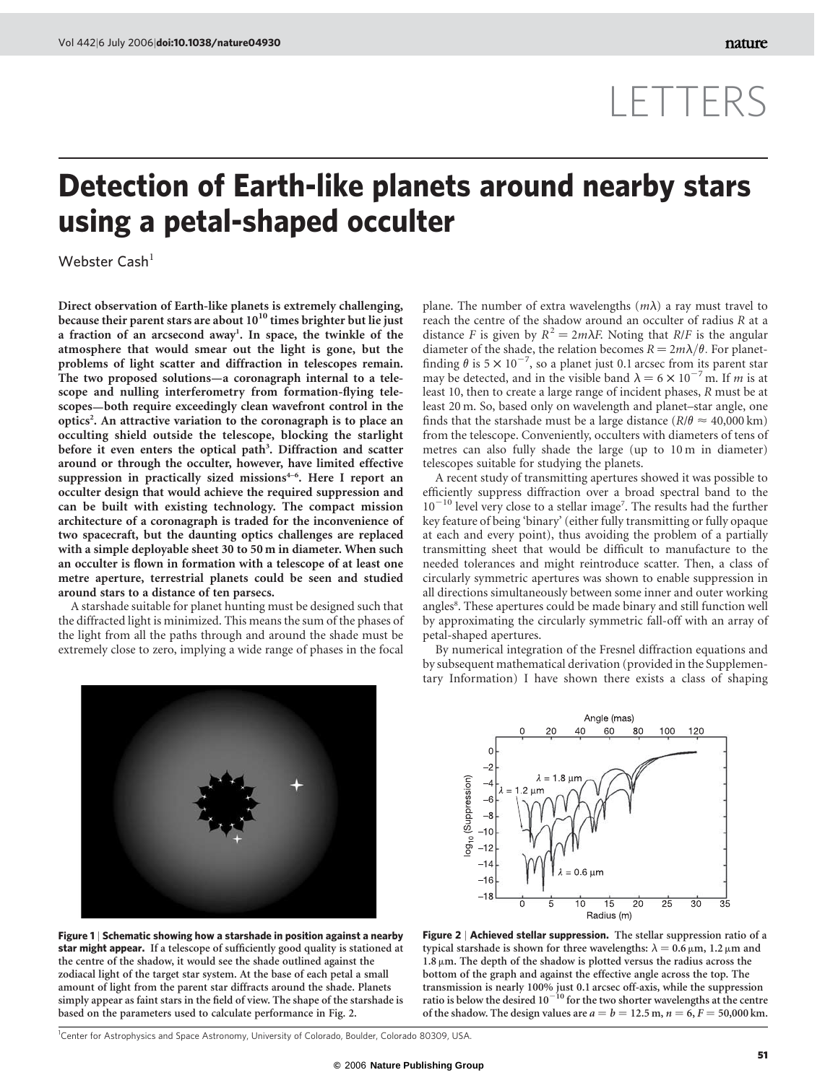## LETTERS

## Detection of Earth-like planets around nearby stars using a petal-shaped occulter

Webster Cash $^1$ 

Direct observation of Earth-like planets is extremely challenging, because their parent stars are about  $10^{10}$  times brighter but lie just a fraction of an arcsecond away<sup>1</sup>. In space, the twinkle of the atmosphere that would smear out the light is gone, but the problems of light scatter and diffraction in telescopes remain. The two proposed solutions—a coronagraph internal to a telescope and nulling interferometry from formation-flying telescopes—both require exceedingly clean wavefront control in the optics<sup>2</sup>. An attractive variation to the coronagraph is to place an occulting shield outside the telescope, blocking the starlight before it even enters the optical path<sup>3</sup>. Diffraction and scatter around or through the occulter, however, have limited effective suppression in practically sized missions<sup>4-6</sup>. Here I report an occulter design that would achieve the required suppression and can be built with existing technology. The compact mission architecture of a coronagraph is traded for the inconvenience of two spacecraft, but the daunting optics challenges are replaced with a simple deployable sheet 30 to 50 m in diameter. When such an occulter is flown in formation with a telescope of at least one metre aperture, terrestrial planets could be seen and studied around stars to a distance of ten parsecs.

A starshade suitable for planet hunting must be designed such that the diffracted light is minimized. This means the sum of the phases of the light from all the paths through and around the shade must be extremely close to zero, implying a wide range of phases in the focal

plane. The number of extra wavelengths  $(m\lambda)$  a ray must travel to reach the centre of the shadow around an occulter of radius R at a distance F is given by  $R^2 = 2m\lambda F$ . Noting that  $R/F$  is the angular diameter of the shade, the relation becomes  $R = 2m\lambda/\theta$ . For planetfinding  $\theta$  is 5  $\times$  10<sup>-7</sup>, so a planet just 0.1 arcsec from its parent star may be detected, and in the visible band  $\lambda = 6 \times 10^{-7}$  m. If m is at least 10, then to create a large range of incident phases, R must be at least 20 m. So, based only on wavelength and planet–star angle, one finds that the starshade must be a large distance  $(R/\theta \approx 40,000 \text{ km})$ from the telescope. Conveniently, occulters with diameters of tens of metres can also fully shade the large (up to 10 m in diameter) telescopes suitable for studying the planets.

A recent study of transmitting apertures showed it was possible to efficiently suppress diffraction over a broad spectral band to the  $10^{-10}$  level very close to a stellar image<sup>7</sup>. The results had the further key feature of being 'binary' (either fully transmitting or fully opaque at each and every point), thus avoiding the problem of a partially transmitting sheet that would be difficult to manufacture to the needed tolerances and might reintroduce scatter. Then, a class of circularly symmetric apertures was shown to enable suppression in all directions simultaneously between some inner and outer working angles<sup>8</sup>. These apertures could be made binary and still function well by approximating the circularly symmetric fall-off with an array of petal-shaped apertures.

By numerical integration of the Fresnel diffraction equations and by subsequent mathematical derivation (provided in the Supplementary Information) I have shown there exists a class of shaping



Figure 1 | Schematic showing how a starshade in position against a nearby star might appear. If a telescope of sufficiently good quality is stationed at the centre of the shadow, it would see the shade outlined against the zodiacal light of the target star system. At the base of each petal a small amount of light from the parent star diffracts around the shade. Planets simply appear as faint stars in the field of view. The shape of the starshade is based on the parameters used to calculate performance in Fig. 2.



Figure 2 | Achieved stellar suppression. The stellar suppression ratio of a typical starshade is shown for three wavelengths:  $\lambda = 0.6 \,\mu$ m, 1.2  $\mu$ m and 1.8  $\mu$ m. The depth of the shadow is plotted versus the radius across the bottom of the graph and against the effective angle across the top. The transmission is nearly 100% just 0.1 arcsec off-axis, while the suppression ratio is below the desired  $10^{-10}$  for the two shorter wavelengths at the centre of the shadow. The design values are  $a = b = 12.5$  m,  $n = 6$ ,  $F = 50,000$  km.

<sup>1</sup>Center for Astrophysics and Space Astronomy, University of Colorado, Boulder, Colorado 80309, USA.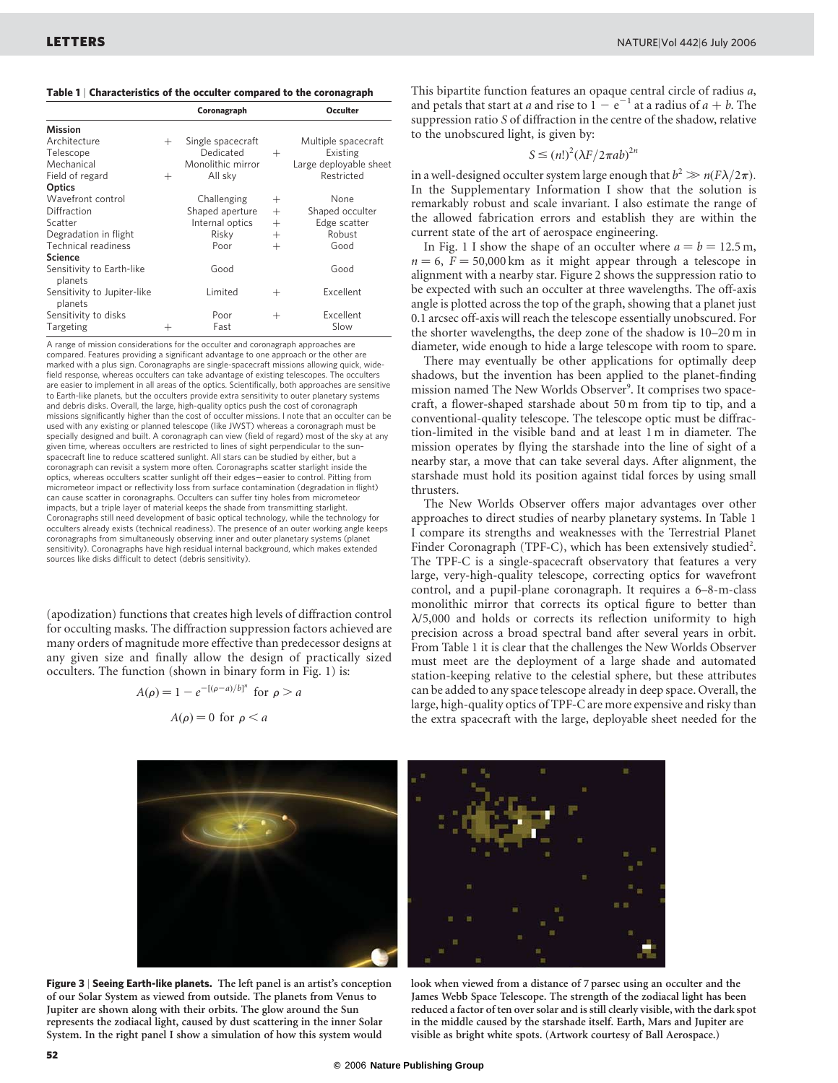| Table 1   Characteristics of the occulter compared to the coronagraph |  |
|-----------------------------------------------------------------------|--|
|-----------------------------------------------------------------------|--|

|                                        |        | Coronagraph       |        | <b>Occulter</b>        |
|----------------------------------------|--------|-------------------|--------|------------------------|
| <b>Mission</b>                         |        |                   |        |                        |
| Architecture                           | $^{+}$ | Single spacecraft |        | Multiple spacecraft    |
| Telescope                              |        | Dedicated         | $^{+}$ | Existing               |
| Mechanical                             |        | Monolithic mirror |        | Large deployable sheet |
| Field of regard                        | $\pm$  | All sky           |        | Restricted             |
| Optics                                 |        |                   |        |                        |
| Wavefront control                      |        | Challenging       | $^+$   | <b>None</b>            |
| Diffraction                            |        | Shaped aperture   | $^{+}$ | Shaped occulter        |
| Scatter                                |        | Internal optics   | $^{+}$ | Edge scatter           |
| Degradation in flight                  |        | Risky             | $^{+}$ | Robust                 |
| <b>Technical readiness</b>             |        | Poor              | $^{+}$ | Good                   |
| <b>Science</b>                         |        |                   |        |                        |
| Sensitivity to Earth-like<br>planets   |        | Good              |        | Good                   |
| Sensitivity to Jupiter-like<br>planets |        | Limited           | $^{+}$ | Excellent              |
| Sensitivity to disks                   |        | Poor              | $^+$   | Excellent              |
| Targeting                              | $^+$   | Fast              |        | Slow                   |

A range of mission considerations for the occulter and coronagraph approaches are compared. Features providing a significant advantage to one approach or the other are marked with a plus sign. Coronagraphs are single-spacecraft missions allowing quick, widefield response, whereas occulters can take advantage of existing telescopes. The occulters are easier to implement in all areas of the optics. Scientifically, both approaches are sensitive to Earth-like planets, but the occulters provide extra sensitivity to outer planetary systems and debris disks. Overall, the large, high-quality optics push the cost of coronagraph missions significantly higher than the cost of occulter missions. I note that an occulter can be used with any existing or planned telescope (like JWST) whereas a coronagraph must be specially designed and built. A coronagraph can view (field of regard) most of the sky at any given time, whereas occulters are restricted to lines of sight perpendicular to the sun– spacecraft line to reduce scattered sunlight. All stars can be studied by either, but a coronagraph can revisit a system more often. Coronagraphs scatter starlight inside the optics, whereas occulters scatter sunlight off their edges—easier to control. Pitting from micrometeor impact or reflectivity loss from surface contamination (degradation in flight) can cause scatter in coronagraphs. Occulters can suffer tiny holes from micrometeor impacts, but a triple layer of material keeps the shade from transmitting starlight. Coronagraphs still need development of basic optical technology, while the technology for occulters already exists (technical readiness). The presence of an outer working angle keeps coronagraphs from simultaneously observing inner and outer planetary systems (planet sensitivity). Coronagraphs have high residual internal background, which makes extended sources like disks difficult to detect (debris sensitivity).

(apodization) functions that creates high levels of diffraction control for occulting masks. The diffraction suppression factors achieved are many orders of magnitude more effective than predecessor designs at any given size and finally allow the design of practically sized occulters. The function (shown in binary form in Fig. 1) is:

$$
A(\rho) = 1 - e^{-[(\rho - a)/b]^n} \text{ for } \rho > a
$$

$$
A(\rho) = 0 \text{ for } \rho < a
$$

This bipartite function features an opaque central circle of radius a, and petals that start at a and rise to  $1 - e^{-1}$  at a radius of  $a + b$ . The suppression ratio S of diffraction in the centre of the shadow, relative to the unobscured light, is given by:

$$
S \leq (n!)^2 (\lambda F / 2\pi ab)^{2n}
$$

in a well-designed occulter system large enough that  $b^2 \gg n(F\lambda/2\pi)$ . In the Supplementary Information I show that the solution is remarkably robust and scale invariant. I also estimate the range of the allowed fabrication errors and establish they are within the current state of the art of aerospace engineering.

In Fig. 1 I show the shape of an occulter where  $a = b = 12.5$  m,  $n = 6$ ,  $F = 50,000$  km as it might appear through a telescope in alignment with a nearby star. Figure 2 shows the suppression ratio to be expected with such an occulter at three wavelengths. The off-axis angle is plotted across the top of the graph, showing that a planet just 0.1 arcsec off-axis will reach the telescope essentially unobscured. For the shorter wavelengths, the deep zone of the shadow is 10–20 m in diameter, wide enough to hide a large telescope with room to spare.

There may eventually be other applications for optimally deep shadows, but the invention has been applied to the planet-finding mission named The New Worlds Observer<sup>9</sup>. It comprises two spacecraft, a flower-shaped starshade about 50 m from tip to tip, and a conventional-quality telescope. The telescope optic must be diffraction-limited in the visible band and at least 1 m in diameter. The mission operates by flying the starshade into the line of sight of a nearby star, a move that can take several days. After alignment, the starshade must hold its position against tidal forces by using small thrusters.

The New Worlds Observer offers major advantages over other approaches to direct studies of nearby planetary systems. In Table 1 I compare its strengths and weaknesses with the Terrestrial Planet Finder Coronagraph (TPF-C), which has been extensively studied<sup>2</sup>. The TPF-C is a single-spacecraft observatory that features a very large, very-high-quality telescope, correcting optics for wavefront control, and a pupil-plane coronagraph. It requires a 6–8-m-class monolithic mirror that corrects its optical figure to better than  $\lambda$ /5,000 and holds or corrects its reflection uniformity to high precision across a broad spectral band after several years in orbit. From Table 1 it is clear that the challenges the New Worlds Observer must meet are the deployment of a large shade and automated station-keeping relative to the celestial sphere, but these attributes can be added to any space telescope already in deep space. Overall, the large, high-quality optics of TPF-C are more expensive and risky than the extra spacecraft with the large, deployable sheet needed for the



Figure 3 | Seeing Earth-like planets. The left panel is an artist's conception of our Solar System as viewed from outside. The planets from Venus to Jupiter are shown along with their orbits. The glow around the Sun represents the zodiacal light, caused by dust scattering in the inner Solar System. In the right panel I show a simulation of how this system would

James Webb Space Telescope. The strength of the zodiacal light has been reduced a factor of ten over solar and is still clearly visible, with the dark spot in the middle caused by the starshade itself. Earth, Mars and Jupiter are visible as bright white spots. (Artwork courtesy of Ball Aerospace.)

look when viewed from a distance of 7 parsec using an occulter and the